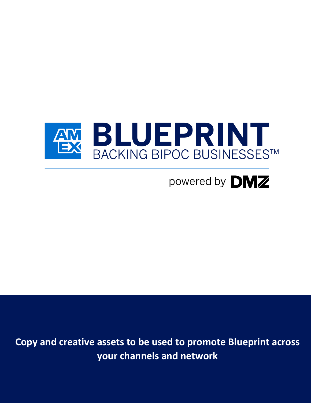

powered by **DMZ** 

**Copy and creative assets to be used to promote Blueprint across your channels and network**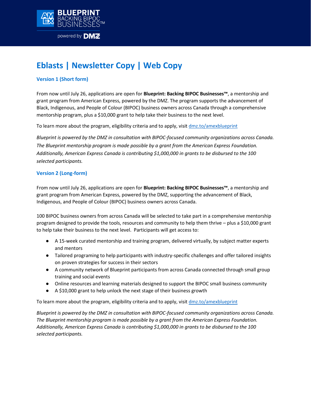

# **Eblasts | Newsletter Copy | Web Copy**

## **Version 1 (Short form)**

From now until July 26, applications are open for **[Blueprint: Backing BIPOC Businesses](http://dmz.to/amexblueprint)™**, a mentorship and grant program from American Express, powered by the DMZ. The program supports the advancement of Black, Indigenous, and People of Colour (BIPOC) business owners across Canada through a comprehensive mentorship program, plus a \$10,000 grant to help take their business to the next level.

To learn more about the program, eligibility criteria and to apply, visi[t dmz.to/amexblueprint](http://www.dmz.to/AmexBlueprint)

*Blueprint is powered by the DMZ in consultation with BIPOC-focused community organizations across Canada. The Blueprint mentorship program is made possible by a grant from the American Express Foundation. Additionally, American Express Canada is contributing \$1,000,000 in grants to be disbursed to the 100 selected participants.*

### **Version 2 (Long-form)**

From now until July 26, applications are open for **[Blueprint: Backing BIPOC Businesses](http://dmz.to/amexblueprint)[™](http://dmz.ryerson.ca/blueprint)**[,](http://dmz.ryerson.ca/blueprint) a mentorship and grant program from American Express, powered by the DMZ, supporting the advancement of Black, Indigenous, and People of Colour (BIPOC) business owners across Canada.

100 BIPOC business owners from across Canada will be selected to take part in a comprehensive mentorship program designed to provide the tools, resources and community to help them thrive – plus a \$10,000 grant to help take their business to the next level. Participants will get access to:

- A 15-week curated mentorship and training program, delivered virtually, by subject matter experts and mentors
- Tailored programing to help participants with industry-specific challenges and offer tailored insights on proven strategies for success in their sectors
- A community network of Blueprint participants from across Canada connected through small group training and social events
- Online resources and learning materials designed to support the BIPOC small business community
- A \$10,000 grant to help unlock the next stage of their business growth

To learn more about the program, eligibility criteria and to apply, visi[t dmz.to/amexblueprint](http://www.dmz.to/amexblueprint)

*Blueprint is powered by the DMZ in consultation with BIPOC-focused community organizations across Canada. The Blueprint mentorship program is made possible by a grant from the American Express Foundation. Additionally, American Express Canada is contributing \$1,000,000 in grants to be disbursed to the 100 selected participants.*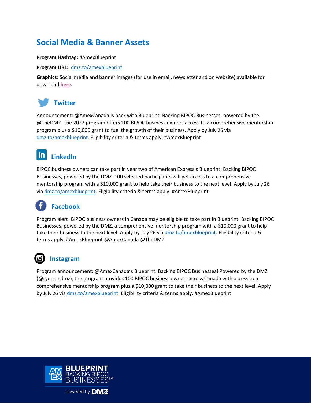## **Social Media & Banner Assets**

**Program Hashtag:** #AmexBlueprint

**Program URL:** [dmz.to/amexblueprint](http://www.dmz.to/amexblueprint)

**Graphics:** Social media and banner images (for use in email, newsletter and on website) available for download **[here.](https://redbooth.com/f/3c32b0d218258b50)**



## **Twitter**

Announcement: @AmexCanada is back with Blueprint: Backing BIPOC Businesses, powered by the @TheDMZ. The 2022 program offers 100 BIPOC business owners access to a comprehensive mentorship program plus a \$10,000 grant to fuel the growth of their business. Apply by July 26 via [dmz.to/amexblueprint.](http://www.dmz.to/AmexBlueprint) Eligibility criteria & terms apply. #AmexBlueprint

#### <u>in</u> **LinkedIn**

BIPOC business owners can take part in year two of American Express's Blueprint: Backing BIPOC Businesses, powered by the DMZ. 100 selected participants will get access to a comprehensive mentorship program with a \$10,000 grant to help take their business to the next level. Apply by July 26 via [dmz.to/amexblueprint.](http://www.dmz.to/AmexBlueprint) Eligibility criteria & terms apply. #AmexBlueprint

# **Facebook**

Program alert! BIPOC business owners in Canada may be eligible to take part in Blueprint: Backing BIPOC Businesses, powered by the DMZ, a comprehensive mentorship program with a \$10,000 grant to help take their business to the next level. Apply by July 26 via [dmz.to/amexblueprint.](http://www.dmz.to/AmexBlueprint) Eligibility criteria & terms apply. #AmexBlueprint @AmexCanada @TheDMZ

## **Instagram**

Program announcement: @AmexCanada's Blueprint: Backing BIPOC Businesses! Powered by the DMZ (@ryersondmz), the program provides 100 BIPOC business owners across Canada with access to a comprehensive mentorship program plus a \$10,000 grant to take their business to the next level. Apply by July 26 via [dmz.to/amexblueprint.](http://www.dmz.to/AmexBlueprint) Eligibility criteria & terms apply. #AmexBlueprint



powered by DMZ